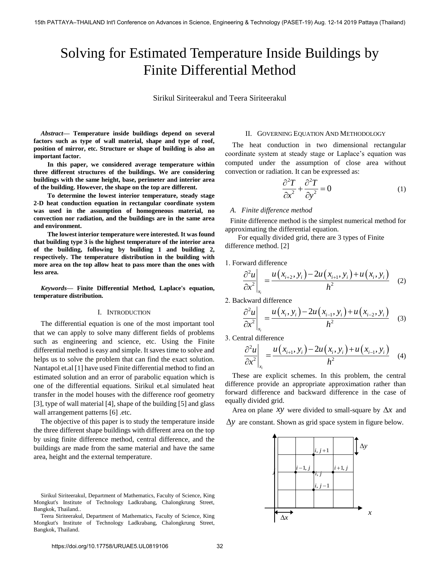# Solving for Estimated Temperature Inside Buildings by Finite Differential Method

Sirikul Siriteerakul and Teera Siriteerakul

*Abstract***— Temperature inside buildings depend on several factors such as type of wall material, shape and type of roof, position of mirror, etc. Structure or shape of building is also an important factor.** 

 **In this paper, we considered average temperature within three different structures of the buildings. We are considering buildings with the same height, base, perimeter and interior area of the building. However, the shape on the top are different.** 

 **To determine the lowest interior temperature, steady stage 2-D heat conduction equation in rectangular coordinate system was used in the assumption of homogeneous material, no convection nor radiation, and the buildings are in the same area and environment.** 

 **The lowest interior temperature were interested. It was found that building type 3 is the highest temperature of the interior area of the building, following by building 1 and building 2, respectively. The temperature distribution in the building with more area on the top allow heat to pass more than the ones with less area.** 

*Keywords***— Finite Differential Method, Laplace's equation, temperature distribution.** 

## I. INTRODUCTION

The differential equation is one of the most important tool that we can apply to solve many different fields of problems such as engineering and science, etc. Using the Finite differential method is easy and simple. It saves time to solve and helps us to solve the problem that can find the exact solution. Nantapol et.al [1] have used Finite differential method to find an estimated solution and an error of parabolic equation which is one of the differential equations. Sirikul et.al simulated heat transfer in the model houses with the difference roof geometry [3], type of wall material [4], shape of the building [5] and glass wall arrangement patterns [6] .etc.

The objective of this paper is to study the temperature inside the three different shape buildings with different area on the top by using finite difference method, central difference, and the buildings are made from the same material and have the same area, height and the external temperature.

## II. GOVERNING EQUATION AND METHODOLOGY

The heat conduction in two dimensional rectangular coordinate system at steady stage or Laplace's equation was computed under the assumption of close area without convection or radiation. It can be expressed as:

$$
\frac{\partial^2 T}{\partial x^2} + \frac{\partial^2 T}{\partial y^2} = 0
$$
 (1)

#### *A. Finite difference method*

Finite difference method is the simplest numerical method for approximating the differential equation.

For equally divided grid, there are 3 types of Finite difference method. [2]

1. Forward difference

ward difference  
\n
$$
\left. \frac{\partial^2 u}{\partial x^2} \right|_{x_i} = \frac{u(x_{i+2}, y_i) - 2u(x_{i+1}, y_i) + u(x_i, y_i)}{h^2}
$$
 (2)

2. Backward difference

$$
\begin{aligned}\n\text{d} & \lim_{x_i} & \text{d} & \text{d} & \text{d} & \text{d} & \text{d} & \text{d} & \text{d} & \text{d} & \text{d} & \text{f} & \text{f} & \text{f} & \text{d} \\
\frac{\partial^2 u}{\partial x^2} \bigg|_{x_i} &= \frac{u(x_i, y_i) - 2u(x_{i-1}, y_i) + u(x_{i-2}, y_i)}{h^2} \quad (3)\n\end{aligned}
$$

3. Central difference

$$
\frac{\partial^2 u}{\partial x^2}\Big|_{x_i} = \frac{u(x_{i+1}, y_i) - 2u(x_i, y_i) + u(x_{i-1}, y_i)}{h^2}
$$
 (4)

These are explicit schemes. In this problem, the central difference provide an appropriate approximation rather than forward difference and backward difference in the case of equally divided grid.

Area on plane *xy* were divided to small-square by  $\Delta x$  and  $\Delta y$  are constant. Shown as grid space system in figure below.



Sirikul Siriteerakul, Department of Mathematics, Faculty of Science, King Mongkut's Institute of Technology Ladkrabang, Chalongkrung Street, Bangkok, Thailand..

Teera Siriteerakul, Department of Mathematics, Faculty of Science, King Mongkut's Institute of Technology Ladkrabang, Chalongkrung Street, Bangkok, Thailand.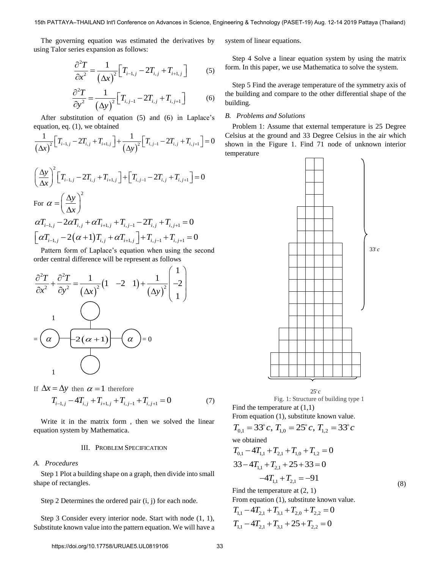The governing equation was estimated the derivatives by using Talor series expansion as follows:

$$
\frac{\partial^2 T}{\partial x^2} = \frac{1}{(\Delta x)^2} \Big[ T_{i-1,j} - 2T_{i,j} + T_{i+1,j} \Big] \tag{5}
$$

$$
\frac{\partial^2 T}{\partial y^2} = \frac{1}{(\Delta y)^2} \Big[ T_{i,j-1} - 2T_{i,j} + T_{i,j+1} \Big] \tag{6}
$$

After substitution of equation (5) and (6) in Laplace's  
equation, eq. (1), we obtained  

$$
\frac{1}{(\Delta x)^2} \Big[ T_{i-1,j} - 2T_{i,j} + T_{i+1,j} \Big] + \frac{1}{(\Delta y)^2} \Big[ T_{i,j-1} - 2T_{i,j} + T_{i,j+1} \Big] = 0
$$
 cells  
show term

$$
\left(\frac{\Delta y}{\Delta x}\right)^2 \left[T_{i-1,j} - 2T_{i,j} + T_{i+1,j}\right] + \left[T_{i,j-1} - 2T_{i,j} + T_{i,j+1}\right] = 0
$$
  
For  $\alpha = \left(\frac{\Delta y}{\Delta x}\right)^2$   

$$
\alpha T_{i-1,j} - 2\alpha T_{i,j} + \alpha T_{i+1,j} + T_{i,j-1} - 2T_{i,j} + T_{i,j+1} = 0
$$
  

$$
\left[\alpha T_{i-1,j} - 2(\alpha + 1)T_{i,j} + \alpha T_{i+1,j}\right] + T_{i,j-1} + T_{i,j+1} = 0
$$

Pattern form of Laplace's equation when using the second order central difference will be represent as follows  $\frac{1}{\cos \theta}$  and second<br> $\left( \begin{array}{c} 1 \end{array} \right)$ 



If 
$$
\Delta x = \Delta y
$$
 then  $\alpha = 1$  therefore  
\n
$$
T_{i-1,j} - 4T_{i,j} + T_{i+1,j} + T_{i,j-1} + T_{i,j+1} = 0
$$
\n(7)

Write it in the matrix form , then we solved the linear equation system by Mathematica.

## III. PROBLEM SPECIFICATION

#### *A. Procedures*

Step 1 Plot a building shape on a graph, then divide into small shape of rectangles.

Step 2 Determines the ordered pair (i, j) for each node.

Step 3 Consider every interior node. Start with node (1, 1), Substitute known value into the pattern equation. We will have a system of linear equations.

Step 4 Solve a linear equation system by using the matrix form. In this paper, we use Mathematica to solve the system.

Step 5 Find the average temperature of the symmetry axis of the building and compare to the other differential shape of the building.

#### *B. Problems and Solutions*

Problem 1: Assume that external temperature is 25 Degree Celsius at the ground and 33 Degree Celsius in the air which shown in the Figure 1. Find 71 node of unknown interior temperature



Fig. 1: Structure of building type 1 Find the temperature at  $(1,1)$ 

From equation (1), substitute known value.

$$
T_{0,1} = 33^{\circ} c, T_{1,0} = 25^{\circ} c, T_{1,2} = 33^{\circ} c
$$
  
we obtained  

$$
T_{0,1} - 4T_{1,1} + T_{2,1} + T_{1,0} + T_{1,2} = 0
$$

$$
33 - 4T_{1,1} + T_{2,1} + 25 + 33 = 0
$$

$$
-4T_{1,1} + T_{2,1} = -91
$$
  
Find the temperature at (2, 1) (8)

Find the temperature at (2, 1)

From equation (1), substitute known value.

 $T_{1,1} - 4T_{2,1} + T_{3,1} + T_{2,0} + T_{2,2} = 0$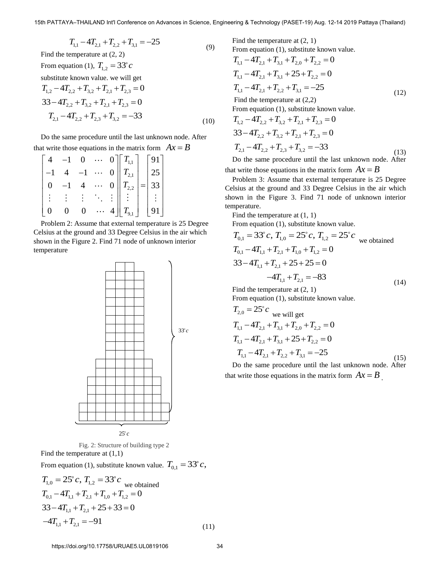$T_{11} - 4T_{21} + T_{22} + T_{31} = -25$  (9) Find the temperature at (2, 2) From equation (1),  $T_{1,2} = 33^\circ c$ substitute known value. we will get  $T_{1,2} - 4T_{2,2} + T_{3,2} + T_{2,1} + T_{2,3} = 0$  $33-4T_{2,2} + T_{3,2} + T_{2,1} + T_{2,3} = 0$  $T_{2,1} - 4T_{2,2} + T_{3,3} + T_{3,2} = -33$ (10)

Do the same procedure until the last unknown node. After

that write those equations in the matrix form 
$$
Ax = B
$$
  
\n
$$
\begin{bmatrix}\n4 & -1 & 0 & \cdots & 0 \\
-1 & 4 & -1 & \cdots & 0 \\
0 & -1 & 4 & \cdots & 0 \\
\vdots & \vdots & \vdots & \ddots & \vdots \\
0 & 0 & 0 & \cdots & 4\n\end{bmatrix}\n\begin{bmatrix}\nT_{1,1} \\
T_{2,1} \\
T_{2,2} \\
\vdots \\
T_{9,1}\n\end{bmatrix} =\n\begin{bmatrix}\n91 \\
25 \\
33 \\
\vdots \\
91\n\end{bmatrix}
$$

Problem 2: Assume that external temperature is 25 Degree Celsius at the ground and 33 Degree Celsius in the air which shown in the Figure 2. Find 71 node of unknown interior temperature



Fig. 2: Structure of building type 2 Find the temperature at (1,1) From equation (1), substitute known value.  $T_{0,1} = 33^{\circ} c$ ,

$$
T_{1,0} = 25^{\circ} c, T_{1,2} = 33^{\circ} c
$$
 we obtained  
\n
$$
T_{0,1} - 4T_{1,1} + T_{2,1} + T_{1,0} + T_{1,2} = 0
$$
  
\n
$$
33 - 4T_{1,1} + T_{2,1} + 25 + 33 = 0
$$
  
\n
$$
-4T_{1,1} + T_{2,1} = -91
$$
\n(11)

Find the temperature at (2, 1)

From equation (1), substitute known value.  
\n
$$
T_{1,1} - 4T_{2,1} + T_{3,1} + T_{2,0} + T_{2,2} = 0
$$
\n
$$
T_{1,1} - 4T_{2,1} + T_{3,1} + 25 + T_{2,2} = 0
$$
\n
$$
T_{1,1} - 4T_{2,1} + T_{2,2} + T_{3,1} = -25
$$
\nFind the temperature at (2,2)  
\nFrom equation (1), substitute known value.  
\n
$$
T_{1,2} - 4T_{2,2} + T_{3,2} + T_{2,1} + T_{2,3} = 0
$$
\n(12)

$$
T_{1,2} = T_{2,2} + T_{3,2} + T_{2,1} + T_{2,3} = 0
$$
  
\n
$$
T_{2,1} - 4T_{2,2} + T_{2,3} + T_{3,2} = -33
$$
  
\n(13)

Do the same procedure until the last unknown node. After that write those equations in the matrix form  $Ax = B$ 

Problem 3: Assume that external temperature is 25 Degree Celsius at the ground and 33 Degree Celsius in the air which shown in the Figure 3. Find 71 node of unknown interior temperature.

Find the temperature at (1, 1)

From equation (1), substitute known value.

$$
T_{0,1} = 33^{\circ} c, T_{1,0} = 25^{\circ} c, T_{1,2} = 25^{\circ} c
$$
 we obtained  
\n
$$
T_{0,1} - 4T_{1,1} + T_{2,1} + T_{1,0} + T_{1,2} = 0
$$
  
\n
$$
33 - 4T_{1,1} + T_{2,1} + 25 + 25 = 0
$$
  
\n
$$
-4T_{1,1} + T_{2,1} = -83
$$
\n(14)

Find the temperature at (2, 1)

From equation (1), substitute known value.

$$
T_{2,0} = 25^{\circ} c
$$
 we will get  
\n
$$
T_{1,1} - 4T_{2,1} + T_{3,1} + T_{2,0} + T_{2,2} = 0
$$
  
\n
$$
T_{1,1} - 4T_{2,1} + T_{3,1} + 25 + T_{2,2} = 0
$$
  
\n
$$
T_{1,1} - 4T_{2,1} + T_{2,2} + T_{3,1} = -25
$$

Do the same procedure until the last unknown node. After that write those equations in the matrix form  $Ax = B$ .

(15)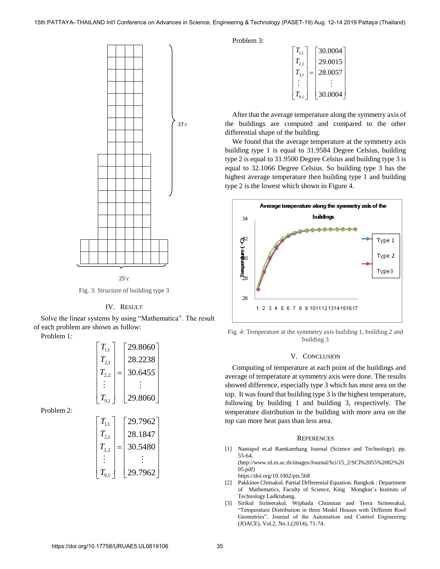

 $25^\circ c$ 



## IV. RESULT

Solve the linear systems by using "Mathematica". The result of each problem are shown as follow:

Problem 1:

| $T_{11}$  | 29.8060 |  |
|-----------|---------|--|
| $T_{2,1}$ | 28.2238 |  |
| $T_{2,2}$ | 30.6455 |  |
|           |         |  |
| $T_{9,1}$ | 29.8060 |  |
|           |         |  |

Problem 2:

| $T_{1,1}$    | 29.7962 |
|--------------|---------|
| $T_{_{2,1}}$ | 28.1847 |
| $T_{2,2}$    | 30.5480 |
|              |         |
| $T_{9,1}$    | 29.7962 |

Problem 3:

| $T_{1,1}$ |     | 30.0004 |
|-----------|-----|---------|
| $T_{2,1}$ |     | 29.0015 |
| $T_{3,1}$ | $=$ | 28.0057 |
|           |     |         |
|           |     | 30.0004 |

After that the average temperature along the symmetry axis of the buildings are computed and compared to the other differential shape of the building.

We found that the average temperature at the symmetry axis building type 1 is equal to 31.9584 Degree Celsius, building type 2 is equal to 31.9500 Degree Celsius and building type 3 is equal to 32.1066 Degree Celsius. So building type 3 has the highest average temperature then building type 1 and building type 2 is the lowest which shown in Figure 4.



Fig. 4: Temperature at the symmetry axis building 1, building 2 and building 3

## V. CONCLUSION

Computing of temperature at each point of the buildings and average of temperature at symmetry axis were done. The results showed difference, especially type 3 which has most area on the top. It was found that building type 3 is the highest temperature, following by building 1 and building 3, respectively. The temperature distribution in the building with more area on the top can more heat pass than less area.

#### **REFERENCES**

[1] [Nantapol et.al Ramkamhang Journal \(Science and Technology\), pp.](https://doi.org/10.1002/pts.568)  [55-64.](https://doi.org/10.1002/pts.568)

[\(http://www.rd.ru.ac.th/images/Journal/Sci/15\\_2/SCI%2055%2002%20](http://www.rd.ru.ac.th/images/Journal/Sci/15_2/SCI%2055%2002%2005.pdf) [05.pdf\)](http://www.rd.ru.ac.th/images/Journal/Sci/15_2/SCI%2055%2002%2005.pdf)

https://doi.org/10.1002/pts.568

- [2] Pakkinee Chitsakul. Partial Differential Equation. Bangkok : Department of Mathematics, Faculty of Science, King Mongkut's Institute of Technology Ladkrabang.
- [3] [Sirikul Siriteerakul, Wiphada Chumnan and Teera Siriteerakul,](https://doi.org/10.12720/joace.2.1.71-74)  ["Temperature Distribution in three Model Houses with Different Roof](https://doi.org/10.12720/joace.2.1.71-74)  [Geometries", Journal of the Automation and Control Engineering](https://doi.org/10.12720/joace.2.1.71-74)  [\(JOACE\), Vol.2, No.1,\(2014\), 71-74.](https://doi.org/10.12720/joace.2.1.71-74)